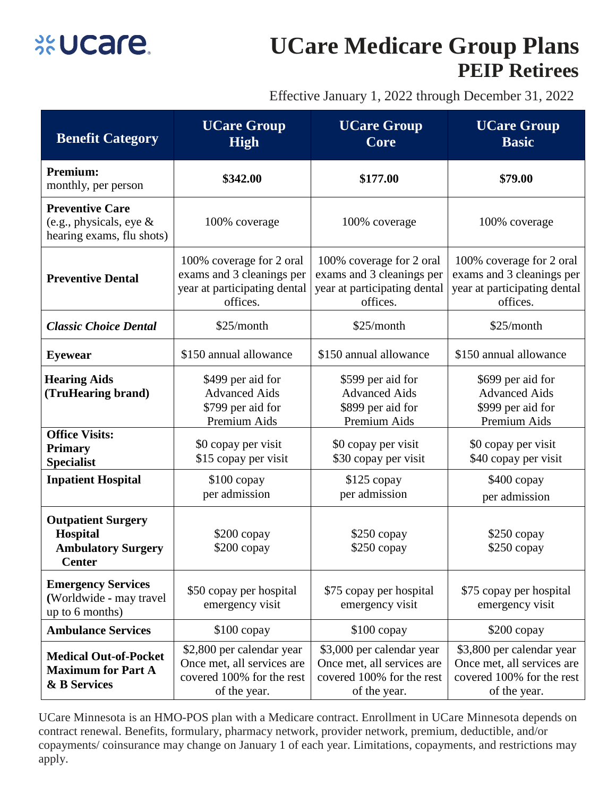

## **UCare Medicare Group Plans PEIP Retirees**

Effective January 1, 2022 through December 31, 2022

| <b>Benefit Category</b>                                                             | <b>UCare Group</b><br><b>High</b>                                                                    | <b>UCare Group</b><br>Core                                                                           | <b>UCare Group</b><br><b>Basic</b>                                                                   |
|-------------------------------------------------------------------------------------|------------------------------------------------------------------------------------------------------|------------------------------------------------------------------------------------------------------|------------------------------------------------------------------------------------------------------|
| <b>Premium:</b><br>monthly, per person                                              | \$342.00                                                                                             | \$177.00                                                                                             | \$79.00                                                                                              |
| <b>Preventive Care</b><br>(e.g., physicals, eye $\&$<br>hearing exams, flu shots)   | 100% coverage                                                                                        | 100% coverage                                                                                        | 100% coverage                                                                                        |
| <b>Preventive Dental</b>                                                            | 100% coverage for 2 oral<br>exams and 3 cleanings per<br>year at participating dental<br>offices.    | 100% coverage for 2 oral<br>exams and 3 cleanings per<br>year at participating dental<br>offices.    | 100% coverage for 2 oral<br>exams and 3 cleanings per<br>year at participating dental<br>offices.    |
| <b>Classic Choice Dental</b>                                                        | \$25/month                                                                                           | \$25/month                                                                                           | \$25/month                                                                                           |
| <b>Eyewear</b>                                                                      | \$150 annual allowance                                                                               | \$150 annual allowance                                                                               | \$150 annual allowance                                                                               |
| <b>Hearing Aids</b><br>(TruHearing brand)                                           | \$499 per aid for<br><b>Advanced Aids</b><br>\$799 per aid for<br>Premium Aids                       | \$599 per aid for<br><b>Advanced Aids</b><br>\$899 per aid for<br>Premium Aids                       | \$699 per aid for<br><b>Advanced Aids</b><br>\$999 per aid for<br>Premium Aids                       |
| <b>Office Visits:</b><br><b>Primary</b><br><b>Specialist</b>                        | \$0 copay per visit<br>\$15 copay per visit                                                          | \$0 copay per visit<br>\$30 copay per visit                                                          | \$0 copay per visit<br>\$40 copay per visit                                                          |
| <b>Inpatient Hospital</b>                                                           | $$100$ copay<br>per admission                                                                        | $$125$ copay<br>per admission                                                                        | $$400$ copay<br>per admission                                                                        |
| <b>Outpatient Surgery</b><br>Hospital<br><b>Ambulatory Surgery</b><br><b>Center</b> | \$200 copay<br>$$200$ copay                                                                          | $$250$ copay<br>$$250$ copay                                                                         | $$250$ copay<br>\$250 copay                                                                          |
| <b>Emergency Services</b><br>(Worldwide - may travel<br>up to 6 months)             | \$50 copay per hospital<br>emergency visit                                                           | \$75 copay per hospital<br>emergency visit                                                           | \$75 copay per hospital<br>emergency visit                                                           |
| <b>Ambulance Services</b>                                                           | $$100$ copay                                                                                         | $$100$ copay                                                                                         | $$200$ copay                                                                                         |
| <b>Medical Out-of-Pocket</b><br><b>Maximum for Part A</b><br>& B Services           | \$2,800 per calendar year<br>Once met, all services are<br>covered 100% for the rest<br>of the year. | \$3,000 per calendar year<br>Once met, all services are<br>covered 100% for the rest<br>of the year. | \$3,800 per calendar year<br>Once met, all services are<br>covered 100% for the rest<br>of the year. |

UCare Minnesota is an HMO-POS plan with a Medicare contract. Enrollment in UCare Minnesota depends on contract renewal. Benefits, formulary, pharmacy network, provider network, premium, deductible, and/or copayments/ coinsurance may change on January 1 of each year. Limitations, copayments, and restrictions may apply.